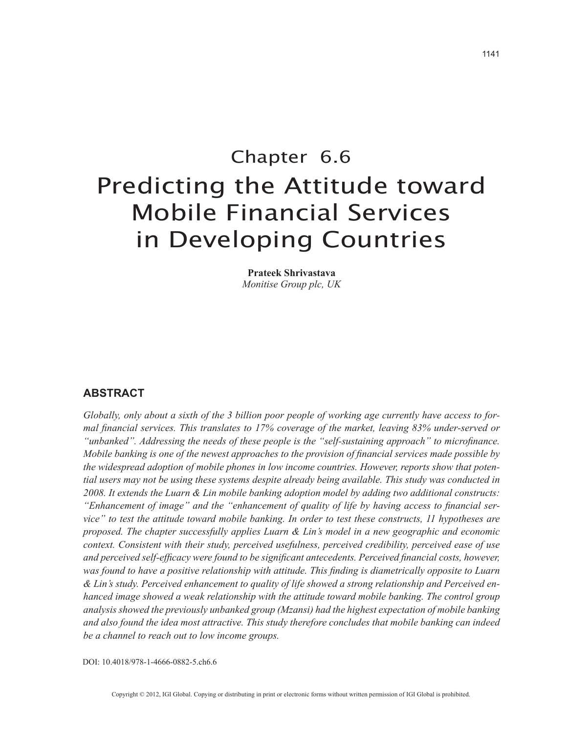# Chapter 6.6 Predicting the Attitude toward Mobile Financial Services in Developing Countries

**Prateek Shrivastava** *Monitise Group plc, UK*

### **ABSTRACT**

*Globally, only about a sixth of the 3 billion poor people of working age currently have access to formal financial services. This translates to 17% coverage of the market, leaving 83% under-served or "unbanked". Addressing the needs of these people is the "self-sustaining approach" to microfinance. Mobile banking is one of the newest approaches to the provision of financial services made possible by the widespread adoption of mobile phones in low income countries. However, reports show that potential users may not be using these systems despite already being available. This study was conducted in 2008. It extends the Luarn & Lin mobile banking adoption model by adding two additional constructs: "Enhancement of image" and the "enhancement of quality of life by having access to financial service" to test the attitude toward mobile banking. In order to test these constructs, 11 hypotheses are proposed. The chapter successfully applies Luarn & Lin's model in a new geographic and economic context. Consistent with their study, perceived usefulness, perceived credibility, perceived ease of use and perceived self-efficacy were found to be significant antecedents. Perceived financial costs, however, was found to have a positive relationship with attitude. This finding is diametrically opposite to Luarn & Lin's study. Perceived enhancement to quality of life showed a strong relationship and Perceived enhanced image showed a weak relationship with the attitude toward mobile banking. The control group analysis showed the previously unbanked group (Mzansi) had the highest expectation of mobile banking and also found the idea most attractive. This study therefore concludes that mobile banking can indeed be a channel to reach out to low income groups.*

DOI: 10.4018/978-1-4666-0882-5.ch6.6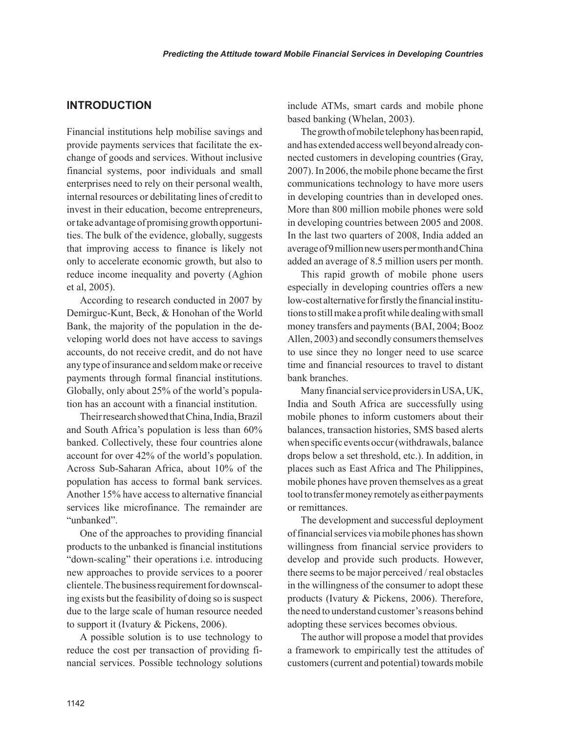## **INTRODUCTION**

Financial institutions help mobilise savings and provide payments services that facilitate the exchange of goods and services. Without inclusive financial systems, poor individuals and small enterprises need to rely on their personal wealth, internal resources or debilitating lines of credit to invest in their education, become entrepreneurs, or take advantage of promising growth opportunities. The bulk of the evidence, globally, suggests that improving access to finance is likely not only to accelerate economic growth, but also to reduce income inequality and poverty (Aghion et al, 2005).

According to research conducted in 2007 by Demirguc-Kunt, Beck, & Honohan of the World Bank, the majority of the population in the developing world does not have access to savings accounts, do not receive credit, and do not have any type of insurance and seldom make or receive payments through formal financial institutions. Globally, only about 25% of the world's population has an account with a financial institution.

Their research showed that China, India, Brazil and South Africa's population is less than 60% banked. Collectively, these four countries alone account for over 42% of the world's population. Across Sub-Saharan Africa, about 10% of the population has access to formal bank services. Another 15% have access to alternative financial services like microfinance. The remainder are "unbanked".

One of the approaches to providing financial products to the unbanked is financial institutions "down-scaling" their operations i.e. introducing new approaches to provide services to a poorer clientele. The business requirement for downscaling exists but the feasibility of doing so is suspect due to the large scale of human resource needed to support it (Ivatury & Pickens, 2006).

A possible solution is to use technology to reduce the cost per transaction of providing financial services. Possible technology solutions include ATMs, smart cards and mobile phone based banking (Whelan, 2003).

The growth of mobile telephony has been rapid, and has extended access well beyond already connected customers in developing countries (Gray, 2007). In 2006, the mobile phone became the first communications technology to have more users in developing countries than in developed ones. More than 800 million mobile phones were sold in developing countries between 2005 and 2008. In the last two quarters of 2008, India added an average of 9 million new users per month and China added an average of 8.5 million users per month.

This rapid growth of mobile phone users especially in developing countries offers a new low-cost alternative for firstly the financial institutions to still make a profit while dealing with small money transfers and payments (BAI, 2004; Booz Allen, 2003) and secondly consumers themselves to use since they no longer need to use scarce time and financial resources to travel to distant bank branches.

Many financial service providers in USA, UK, India and South Africa are successfully using mobile phones to inform customers about their balances, transaction histories, SMS based alerts when specific events occur (withdrawals, balance drops below a set threshold, etc.). In addition, in places such as East Africa and The Philippines, mobile phones have proven themselves as a great tool to transfer money remotely as either payments or remittances.

The development and successful deployment of financial services via mobile phones has shown willingness from financial service providers to develop and provide such products. However, there seems to be major perceived / real obstacles in the willingness of the consumer to adopt these products (Ivatury & Pickens, 2006). Therefore, the need to understand customer's reasons behind adopting these services becomes obvious.

The author will propose a model that provides a framework to empirically test the attitudes of customers (current and potential) towards mobile